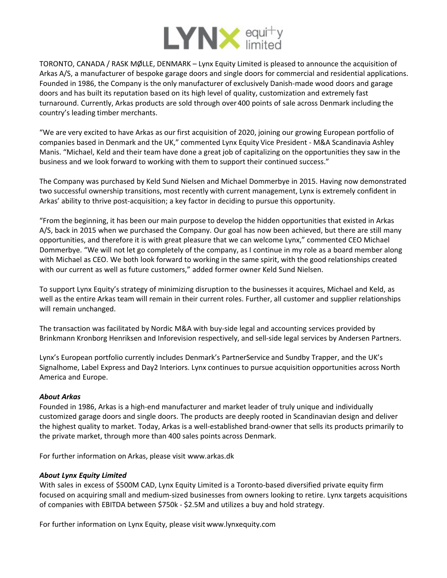

TORONTO, CANADA / RASK MØLLE, DENMARK – Lynx Equity Limited is pleased to announce the acquisition of Arkas A/S, a manufacturer of bespoke garage doors and single doors for commercial and residential applications. Founded in 1986, the Company is the only manufacturer of exclusively Danish-made wood doors and garage doors and has built its reputation based on its high level of quality, customization and extremely fast turnaround. Currently, Arkas products are sold through over400 points of sale across Denmark including the country's leading timber merchants.

"We are very excited to have Arkas as our first acquisition of 2020, joining our growing European portfolio of companies based in Denmark and the UK," commented Lynx Equity Vice President - M&A Scandinavia Ashley Manis. "Michael, Keld and their team have done a great job of capitalizing on the opportunities they saw in the business and we look forward to working with them to support their continued success."

The Company was purchased by Keld Sund Nielsen and Michael Dommerbye in 2015. Having now demonstrated two successful ownership transitions, most recently with current management, Lynx is extremely confident in Arkas' ability to thrive post-acquisition; a key factor in deciding to pursue this opportunity.

"From the beginning, it has been our main purpose to develop the hidden opportunities that existed in Arkas A/S, back in 2015 when we purchased the Company. Our goal has now been achieved, but there are still many opportunities, and therefore it is with great pleasure that we can welcome Lynx," commented CEO Michael Dommerbye. "We will not let go completely of the company, as I continue in my role as a board member along with Michael as CEO. We both look forward to working in the same spirit, with the good relationships created with our current as well as future customers," added former owner Keld Sund Nielsen.

To support Lynx Equity's strategy of minimizing disruption to the businesses it acquires, Michael and Keld, as well as the entire Arkas team will remain in their current roles. Further, all customer and supplier relationships will remain unchanged.

The transaction was facilitated by [Nordic](https://www.nordicma.dk) M&A with buy-side legal and accounting services provided by [Brinkmann Kronborg](https://www.bkhlaw.dk) Henriksen and Infor[evision](https://inforevision.dk) respectively, and sell-side legal services by [Andersen](https://www.andersen-partners.dk/da) Partners.

Lynx's European portfolio currently includes Denmark's [PartnerService](http://partnerservice.dk) and Sundby [Trapper](https://sundby-trapper.dk), and the UK's [Signalhome](https://signalhome.com), Label [Express](https://label-express.co.uk) and [Day2 Interiors](http://www.day2.co.uk). Lynx continues to pursue acquisition opportunities across North America and Europe.

## *About Arkas*

Founded in 1986, Arkas is a high-end manufacturer and market leader of truly unique and individually customized garage doors and single doors. The products are deeply rooted in Scandinavian design and deliver the highest quality to market. Today, Arkas is a well-established brand-owner that sells its products primarily to the private market, through more than 400 sales points across Denmark.

For further information on Arkas, please visit www.arkas.dk

## *About Lynx Equity Limited*

With sales in excess of \$500M CAD, Lynx Equity Limited is a Toronto-based diversified private equity firm focused on acquiring small and medium-sized businesses from owners looking to retire. Lynx targets acquisitions of companies with EBITDA between \$750k - \$2.5M and utilizes a buy and hold strategy.

For further information on Lynx Equity, please visit www.lynxequity.com